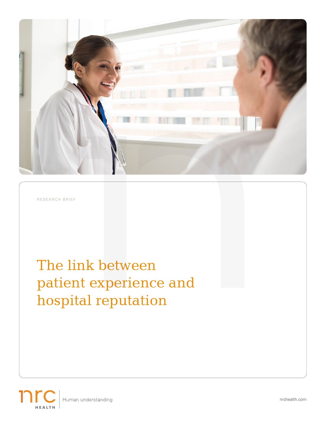

RESEARCH BRIEF

# The link between patient experience and hospital reputation



nrchealth.com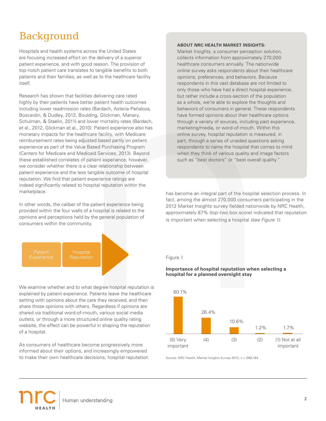## Background

Hospitals and health systems across the United States are focusing increased effort on the delivery of a superior patient experience, and with good reason. The provision of top-notch patient care translates to tangible benefits to both patients and their families, as well as to the healthcare facility itself.

Research has shown that facilities delivering care rated highly by their patients have better patient health outcomes including lower readmission rates (Bardach, Asteria-Peñaloza, Boscardin, & Dudley, 2012, Boulding, Glickman, Manary, Schulman, & Staelin, 2011) and lower mortality rates (Bardach, et al., 2012, Glickman et al., 2010). Patient experience also has monetary impacts for the healthcare facility, with Medicare reimbursement rates being adjusted based partly on patient experience as part of the Value Based Purchasing Program (Centers for Medicare and Medicaid Services, 2013). Beyond these established correlates of patient experience, however, we consider whether there is a clear relationship between patient experience and the less tangible outcome of hospital reputation. We find that patient experience ratings are indeed significantly related to hospital reputation within the marketplace.

In other words, the caliber of the patient experience being provided within the four walls of a hospital is related to the opinions and perceptions held by the general population of consumers within the community.



We examine whether and to what degree hospital reputation is explained by patient experience. Patients leave the healthcare setting with opinions about the care they received, and then share those opinions with others. Regardless if opinions are shared via traditional word-of-mouth, various social media outlets, or through a more structured online quality rating website, the effect can be powerful in shaping the reputation of a hospital.

As consumers of healthcare become progressively more informed about their options, and increasingly empowered to make their own healthcare decisions, hospital reputation

### **ABOUT NRC HEALTH MARKET INSIGHTS:**

Market Insights, a consumer perception solution, collects information from approximately 270,000 healthcare consumers annually. The nationwide online survey asks respondents about their healthcare opinions, preferences, and behaviors. Because respondents in this vast database are not limited to only those who have had a direct hospital experience, but rather include a cross-section of the population as a whole, we're able to explore the thoughts and behaviors of consumers in general. These respondents have formed opinions about their healthcare options through a variety of sources, including past experience, marketing/media, or word-of-mouth. Within this online survey, hospital reputation is measured, in part, through a series of unaided questions asking respondents to name the hospital that comes to mind when they think of various quality and image factors such as "best doctors" or "best overall quality."

has become an integral part of the hospital selection process. In fact, among the almost 270,000 consumers participating in the 2012 Market Insights survey fielded nationwide by NRC Health, approximately 87% (top-two box score) indicated that reputation is important when selecting a hospital *(see Figure 1)*.

### **Importance of hospital reputation when selecting a hospital for a planned overnight stay**



Source: NRC Health, Market Insights Survey 2012, n = 268,164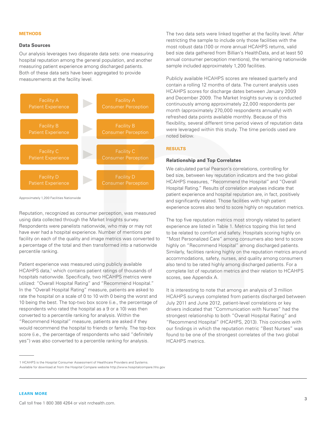### **METHODS**

### **Data Sources**

Our analysis leverages two disparate data sets: one measuring hospital reputation among the general population, and another measuring patient experience among discharged patients. Both of these data sets have been aggregated to provide measurements at the facility level.



Approximately 1,200 Facilities Nationwide

Reputation, recognized as consumer perception, was measured using data collected through the Market Insights survey. Respondents were panelists nationwide, who may or may not have ever had a hospital experience. Number of mentions per facility on each of the quality and image metrics was converted to a percentage of the total and then transformed into a nationwide percentile ranking.

Patient experience was measured using publicly available HCAHPS data,<sup>1</sup> which contains patient ratings of thousands of hospitals nationwide. Specifically, two HCAHPS metrics were utilized: "Overall Hospital Rating" and "Recommend Hospital." In the "Overall Hospital Rating" measure, patients are asked to rate the hospital on a scale of 0 to 10 with 0 being the worst and 10 being the best. The top-two box score (i.e., the percentage of respondents who rated the hospital as a 9 or a 10) was then converted to a percentile ranking for analysis. Within the "Recommend Hospital" measure, patients are asked if they would recommend the hospital to friends or family. The top-box score (i.e., the percentage of respondents who said "definitely yes") was also converted to a percentile ranking for analysis.

The two data sets were linked together at the facility level. After restricting the sample to include only those facilities with the most robust data (100 or more annual HCAHPS returns, valid bed size data gathered from Billian's HealthData, and at least 50 annual consumer perception mentions), the remaining nationwide sample included approximately 1,200 facilities.

Publicly available HCAHPS scores are released quarterly and contain a rolling 12 months of data. The current analysis uses HCAHPS scores for discharge dates between January 2009 and December 2009. The Market Insights survey is conducted continuously among approximately 22,000 respondents per month (approximately 270,000 respondents annually) with refreshed data points available monthly. Because of this flexibility, several different time period views of reputation data were leveraged within this study. The time periods used are noted below.

### **RESULTS**

### **Relationship and Top Correlates**

We calculated partial Pearson's correlations, controlling for bed size, between key reputation indicators and the two global HCAHPS measures, "Recommend the Hospital" and "Overall Hospital Rating." Results of correlation analyses indicate that patient experience and hospital reputation are, in fact, positively and significantly related. Those facilities with high patient experience scores also tend to score highly on reputation metrics.

The top five reputation metrics most strongly related to patient experience are listed in Table 1. Metrics topping this list tend to be related to comfort and safety. Hospitals scoring highly on "Most Personalized Care" among consumers also tend to score highly on "Recommend Hospital" among discharged patients. Similarly, facilities ranking highly on the reputation metrics around accommodations, safety, nurses, and quality among consumers also tend to be rated highly among discharged patients. For a complete list of reputation metrics and their relation to HCAHPS scores, see Appendix A.

It is interesting to note that among an analysis of 3 million HCAHPS surveys completed from patients discharged between July 2011 and June 2012, patient-level correlations or key drivers indicated that "Communication with Nurses" had the strongest relationship to both "Overall Hospital Rating" and "Recommend Hospital" (HCAHPS, 2013). This coincides with our findings in which the reputation metric "Best Nurses" was found to be one of the strongest correlates of the two global HCAHPS metrics.

<sup>1</sup> HCAHPS is the Hospital Consumer Assessment of Healthcare Providers and Systems.

Available for download at from the Hospital Compare website http://www.hospitalcompare.hhs.gov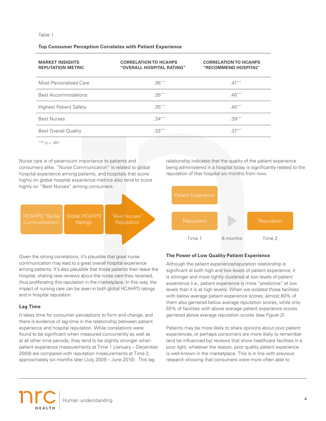### **Top Consumer Perception Correlates with Patient Experience**

| <b>MARKET INSIGHTS</b><br><b>REPUTATION METRIC</b> | <b>CORRELATION TO HCAHPS</b><br>"OVERALL HOSPITAL RATING" | <b>CORRELATION TO HCAHPS</b><br>"RECOMMEND HOSPITAL" |
|----------------------------------------------------|-----------------------------------------------------------|------------------------------------------------------|
| Most Personalized Care                             | $.36***$                                                  | $.41***$                                             |
| <b>Best Accommodations</b>                         | $.35***$                                                  | $.40***$                                             |
| <b>Highest Patient Safety</b>                      | $.35***$                                                  | $.40***$                                             |
| <b>Best Nurses</b>                                 | $.34***$                                                  | $.39***$                                             |
| <b>Best Overall Quality</b>                        | $.33***$                                                  | $.37***$                                             |

*\*\*\* p < .001*

Nurse care is of paramount importance to patients and consumers alike. "Nurse Communication" is related to global hospital experience among patients, and hospitals that score highly on global hospital experience metrics also tend to score highly on "Best Nurses" among consumers.



relationship indicates that the quality of the patient experience being administered in a hospital today is significantly related to the reputation of that hospital six months from now.



Given the strong correlations, it's plausible that great nurse communication may lead to a great overall hospital experience among patients. It's also plausible that those patients then leave the hospital, sharing rave reviews about the nurse care they received, thus proliferating this reputation in the marketplace. In this way, the impact of nursing care can be seen in both global HCAHPS ratings and in hospital reputation.

### **Lag Time**

It takes time for consumer perceptions to form and change, and there is evidence of lag-time in the relationship between patient experience and hospital reputation. While correlations were found to be significant when measured concurrently as well as at all other time periods, they tend to be slightly stronger when patient experience measurements at Time 1 (January – December 2009) are compared with reputation measurements at Time 2, approximately six months later (July 2009 – June 2010). This lag

### **The Power of Low Quality Patient Experience**

Although the patient experience/reputation relationship is significant at both high and low levels of patient experience, it is stronger and more tightly clustered at low levels of patient experience (i.e., patient experience is more "predictive" at low levels than it is at high levels). When we isolated those facilities with below average patient experience scores, almost 80% of them also garnered below average reputation scores, while only 55% of facilities with above average patient experience scores garnered above average reputation scores *(see Figure 2)*.

Patients may be more likely to share opinions about poor patient experiences, or perhaps consumers are more likely to remember (and be influenced by) reviews that show healthcare facilities in a poor light; whatever the reason, poor quality patient experience is well-known in the marketplace. This is in line with previous research showing that consumers were more often able to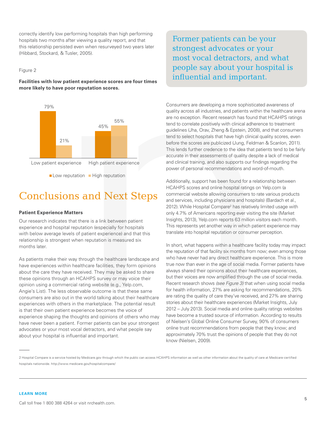correctly identify low performing hospitals than high performing hospitals two months after viewing a quality report, and that this relationship persisted even when resurveyed two years later (Hibbard, Stockard, & Tusler, 2005).

### Figure 2

**Facilities with low patient experience scores are four times more likely to have poor reputation scores.** 



### Conclusions and Next Steps

### **Patient Experience Matters**

Our research indicates that there is a link between patient experience and hospital reputation (especially for hospitals with below average levels of patient experience) and that this relationship is strongest when reputation is measured six months later.

As patients make their way through the healthcare landscape and have experiences within healthcare facilities, they form opinions about the care they have received. They may be asked to share these opinions through an HCAHPS survey or may voice their opinion using a commercial rating website (e.g., Yelp.com, Angie's List). The less observable outcome is that these same consumers are also out in the world talking about their healthcare experiences with others in the marketplace. The potential result is that their own patient experience becomes the voice of experience shaping the thoughts and opinions of others who may have never been a patient. Former patients can be your strongest advocates or your most vocal detractors, and what people say about your hospital is influential and important.

Former patients can be your strongest advocates or your most vocal detractors, and what people say about your hospital is influential and important.

Consumers are developing a more sophisticated awareness of quality across all industries, and patients within the healthcare arena are no exception. Recent research has found that HCAHPS ratings tend to correlate positively with clinical adherence to treatment guidelines (Jha, Orav, Zheng & Epstein, 2008), and that consumers tend to select hospitals that have high clinical quality scores, even before the scores are publicized (Jung, Feldman & Scanlon, 2011). This lends further credence to the idea that patients tend to be fairly accurate in their assessments of quality despite a lack of medical and clinical training, and also supports our findings regarding the power of personal recommendations and word-of-mouth.

Additionally, support has been found for a relationship between HCAHPS scores and online hospital ratings on Yelp.com (a commercial website allowing consumers to rate various products and services, including physicians and hospitals) (Bardach et al., 2012). While Hospital Compare<sup>2</sup> has relatively limited usage with only 4.7% of Americans reporting ever visiting the site (Market Insights, 2013), Yelp.com reports 63 million visitors each month. This represents yet another way in which patient experience may translate into hospital reputation or consumer perception.

In short, what happens within a healthcare facility today may impact the reputation of that facility six months from now; even among those who have never had any direct healthcare experience. This is more true now than ever in the age of social media. Former patients have always shared their opinions about their healthcare experiences, but their voices are now amplified through the use of social media. Recent research shows *(see Figure 3)* that when using social media for health information, 27% are asking for recommendations, 20% are rating the quality of care they've received, and 27% are sharing stories about their healthcare experiences (Market Insights, July 2012 – July 2013). Social media and online quality ratings websites have become a trusted source of information. According to results of Nielsen's Global Online Consumer Survey, 90% of consumers online trust recommendations from people that they know; and approximately 70% trust the opinions of people that they do not know (Nielsen, 2009).

<sup>2</sup> Hospital Compare is a service hosted by Medicare.gov through which the public can access HCAHPS information as well as other information about the quality of care at Medicare-certified hospitals nationwide. http://www.medicare.gov/hospitalcompare/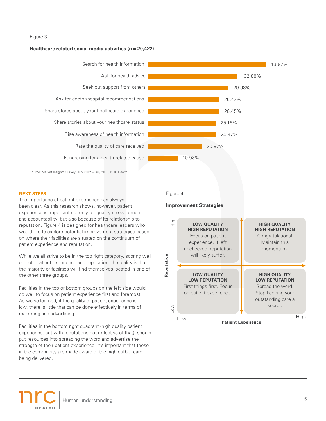### Figure 3

### **Healthcare related social media activities (n = 20,422)**



Source: Market Insights Survey, July 2012 – July 2013, NRC Health.

### **NEXT STEPS**

The importance of patient experience has always been clear. As this research shows, however, patient experience is important not only for quality measurement and accountability, but also because of its relationship to reputation. Figure 4 is designed for healthcare leaders who would like to explore potential improvement strategies based on where their facilities are situated on the continuum of patient experience and reputation.

While we all strive to be in the top right category, scoring well on both patient experience and reputation, the reality is that the majority of facilities will find themselves located in one of the other three groups.

Facilities in the top or bottom groups on the left side would do well to focus on patient experience first and foremost. As we've learned, if the quality of patient experience is low, there is little that can be done effectively in terms of marketing and advertising.

Facilities in the bottom right quadrant (high quality patient experience, but with reputations not reflective of that), should put resources into spreading the word and advertise the strength of their patient experience. It's important that those in the community are made aware of the high caliber care being delivered.



### **Improvement Strategies**

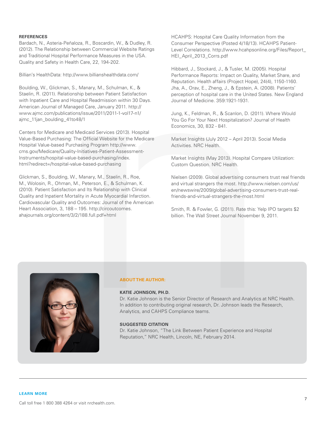### **REFERENCES**

Bardach, N., Asteria-Peñaloza, R., Boscardin, W., & Dudley, R. (2012). The Relationship between Commercial Website Ratings and Traditional Hospital Performance Measures in the USA. Quality and Safety in Health Care, 22, 194-202.

Billian's HealthData: http://www.billianshealthdata.com/

Boulding, W., Glickman, S., Manary, M., Schulman, K., & Staelin, R. (2011). Relationship between Patient Satisfaction with Inpatient Care and Hospital Readmission within 30 Days. American Journal of Managed Care, January 2011. http:// www.ajmc.com/publications/issue/2011/2011-1-vol17-n1/ ajmc\_11jan\_boulding\_41to48/1

Centers for Medicare and Medicaid Services (2013). Hospital Value-Based Purchasing: The Official Website for the Medicare Hospital Value-based Purchasing Program http://www. cms.gov/Medicare/Quality-Initiatives-Patient-Assessment-Instruments/hospital-value-based-purchasing/index. html?redirect=/hospital-value-based-purchasing

Glickman, S., Boulding, W., Manary, M., Staelin, R., Roe, M., Wolosin, R., Ohman, M., Peterson, E., & Schulman, K. (2010). Patient Satisfaction and Its Relationship with Clinical Quality and Inpatient Mortality in Acute Myocardial Infarction. Cardiovascular Quality and Outcomes: Journal of the American Heart Association, 3, 188 – 195. http://circoutcomes. ahajournals.org/content/3/2/188.full.pdf+html

HCAHPS: Hospital Care Quality Information from the Consumer Perspective (Posted 4/18/13). HCAHPS Patient-Level Correlations. http://www.hcahpsonline.org/Files/Report\_ HEI\_April\_2013\_Corrs.pdf

Hibbard, J., Stockard, J., & Tusler, M. (2005). Hospital Performance Reports: Impact on Quality, Market Share, and Reputation. Health affairs (Project Hope), 24(4), 1150-1160. Jha, A., Orav, E., Zheng, J., & Epstein, A. (2008). Patients' perception of hospital care in the United States. New England Journal of Medicine. 359:1921-1931.

Jung, K., Feldman, R., & Scanlon, D. (2011). Where Would You Go For Your Next Hospitalization? Journal of Health Economics, 30, 832 - 841.

Market Insights (July 2012 – April 2013). Social Media Activities. NRC Health.

Market Insights (May 2013). Hospital Compare Utilization: Custom Question. NRC Health.

Nielsen (2009). Global advertising consumers trust real friends and virtual strangers the most. http://www.nielsen.com/us/ en/newswire/2009/global-advertising-consumers-trust-realfriends-and-virtual-strangers-the-most.html

Smith, R. & Fowler, G. (2011). Rate this: Yelp IPO targets \$2 billion. The Wall Street Journal November 9, 2011.



### **ABOUT THE AUTHOR:**

### **KATIE JOHNSON, PH.D.**

Dr. Katie Johnson is the Senior Director of Research and Analytics at NRC Health. In addition to contributing original research, Dr. Johnson leads the Research, Analytics, and CAHPS Compliance teams.

#### **SUGGESTED CITATION**

Dr. Katie Johnson, "The Link Between Patient Experience and Hospital Reputation," NRC Health, Lincoln, NE, February 2014.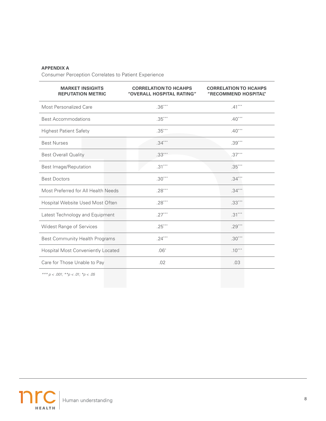### **APPENDIX A**

Consumer Perception Correlates to Patient Experience

| <b>MARKET INSIGHTS</b><br><b>REPUTATION METRIC</b> | <b>CORRELATION TO HCAHPS</b><br>"OVERALL HOSPITAL RATING" | <b>CORRELATION TO HCAHPS</b><br>"RECOMMEND HOSPITAL" |
|----------------------------------------------------|-----------------------------------------------------------|------------------------------------------------------|
| Most Personalized Care                             | $.36***$                                                  | $.41***$                                             |
| <b>Best Accommodations</b>                         | $.35***$                                                  | $.40***$                                             |
| <b>Highest Patient Safety</b>                      | $.35***$                                                  | $.40***$                                             |
| <b>Best Nurses</b>                                 | $.34***$                                                  | $.39***$                                             |
| <b>Best Overall Quality</b>                        | $.33***$                                                  | $.37***$                                             |
| Best Image/Reputation                              | $.31***$                                                  | $.35***$                                             |
| <b>Best Doctors</b>                                | $.30***$                                                  | $.34***$                                             |
| Most Preferred for All Health Needs                | $.28***$                                                  | $.34***$                                             |
| Hospital Website Used Most Often                   | $.28***$                                                  | $.33***$                                             |
| Latest Technology and Equipment                    | $.27***$                                                  | $.31***$                                             |
| <b>Widest Range of Services</b>                    | $.25***$                                                  | $.29***$                                             |
| Best Community Health Programs                     | $.24***$                                                  | $.30***$                                             |
| <b>Hospital Most Conveniently Located</b>          | $.06*$                                                    | $.10***$                                             |
| Care for Those Unable to Pay                       | .02                                                       | .03                                                  |

*\*\*\* p < .001; \*\*p < .01; \*p < .05*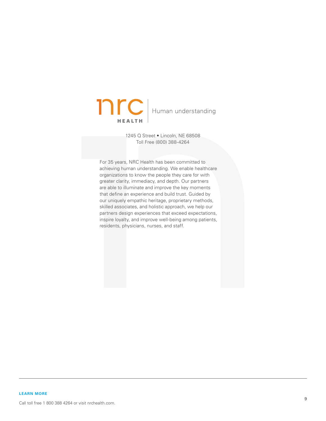

1245 Q Street • Lincoln, NE 68508 Toll Free (800) 388-4264

For 35 years, NRC Health has been committed to achieving human understanding. We enable healthcare organizations to know the people they care for with greater clarity, immediacy, and depth. Our partners are able to illuminate and improve the key moments that define an experience and build trust. Guided by our uniquely empathic heritage, proprietary methods, skilled associates, and holistic approach, we help our partners design experiences that exceed expectations, inspire loyalty, and improve well-being among patients, residents, physicians, nurses, and staff.